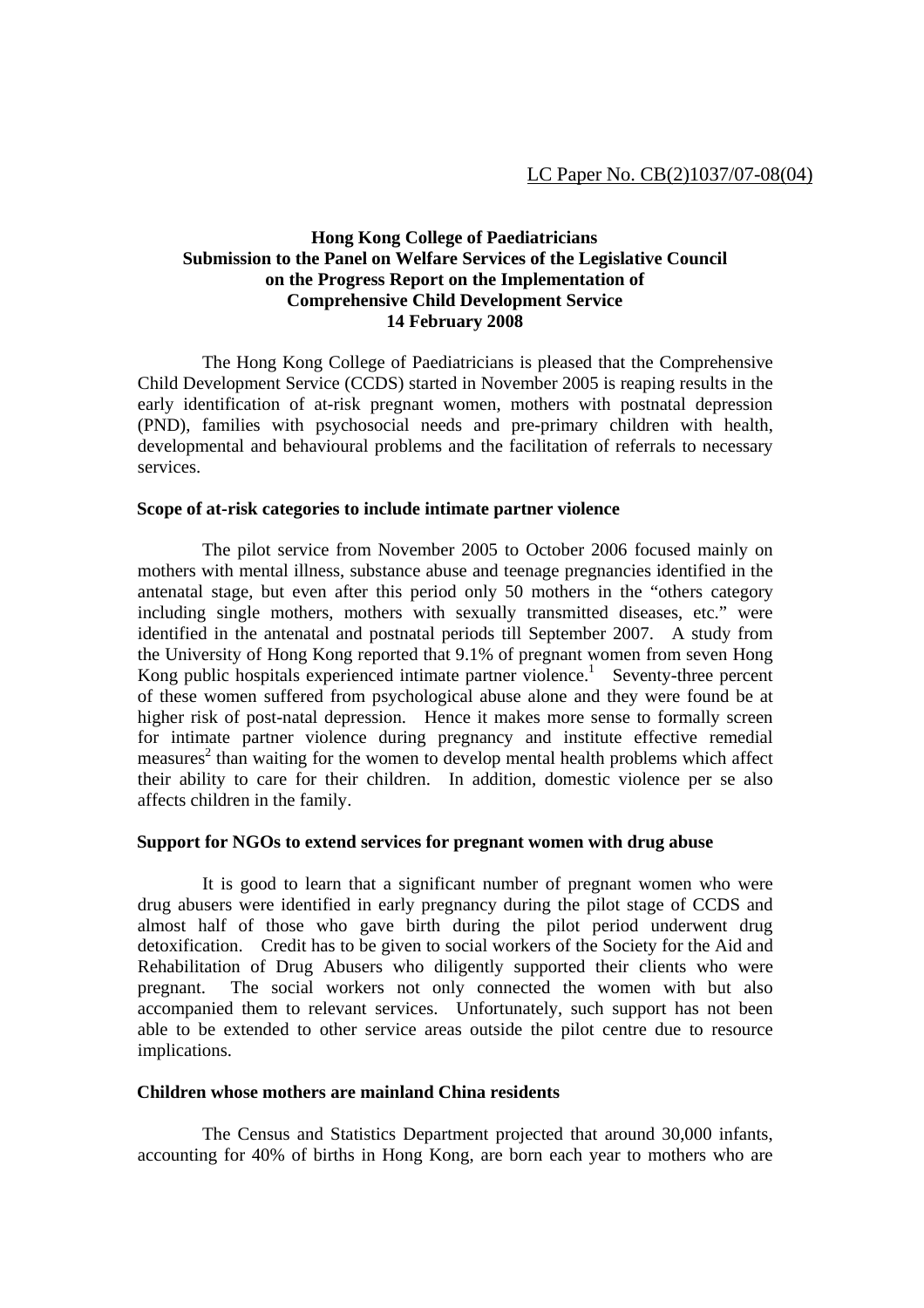# **Hong Kong College of Paediatricians Submission to the Panel on Welfare Services of the Legislative Council on the Progress Report on the Implementation of Comprehensive Child Development Service 14 February 2008**

 The Hong Kong College of Paediatricians is pleased that the Comprehensive Child Development Service (CCDS) started in November 2005 is reaping results in the early identification of at-risk pregnant women, mothers with postnatal depression (PND), families with psychosocial needs and pre-primary children with health, developmental and behavioural problems and the facilitation of referrals to necessary services.

### **Scope of at-risk categories to include intimate partner violence**

 The pilot service from November 2005 to October 2006 focused mainly on mothers with mental illness, substance abuse and teenage pregnancies identified in the antenatal stage, but even after this period only 50 mothers in the "others category including single mothers, mothers with sexually transmitted diseases, etc." were identified in the antenatal and postnatal periods till September 2007. A study from the University of Hong Kong reported that 9.1% of pregnant women from seven Hong Kong public hospitals experienced intimate partner violence.<sup>1</sup> Seventy-three percent of these women suffered from psychological abuse alone and they were found be at higher risk of post-natal depression. Hence it makes more sense to formally screen for intimate partner violence during pregnancy and institute effective remedial measures<sup>2</sup> than waiting for the women to develop mental health problems which affect their ability to care for their children. In addition, domestic violence per se also affects children in the family.

### **Support for NGOs to extend services for pregnant women with drug abuse**

 It is good to learn that a significant number of pregnant women who were drug abusers were identified in early pregnancy during the pilot stage of CCDS and almost half of those who gave birth during the pilot period underwent drug detoxification. Credit has to be given to social workers of the Society for the Aid and Rehabilitation of Drug Abusers who diligently supported their clients who were pregnant. The social workers not only connected the women with but also accompanied them to relevant services. Unfortunately, such support has not been able to be extended to other service areas outside the pilot centre due to resource implications.

#### **Children whose mothers are mainland China residents**

 The Census and Statistics Department projected that around 30,000 infants, accounting for 40% of births in Hong Kong, are born each year to mothers who are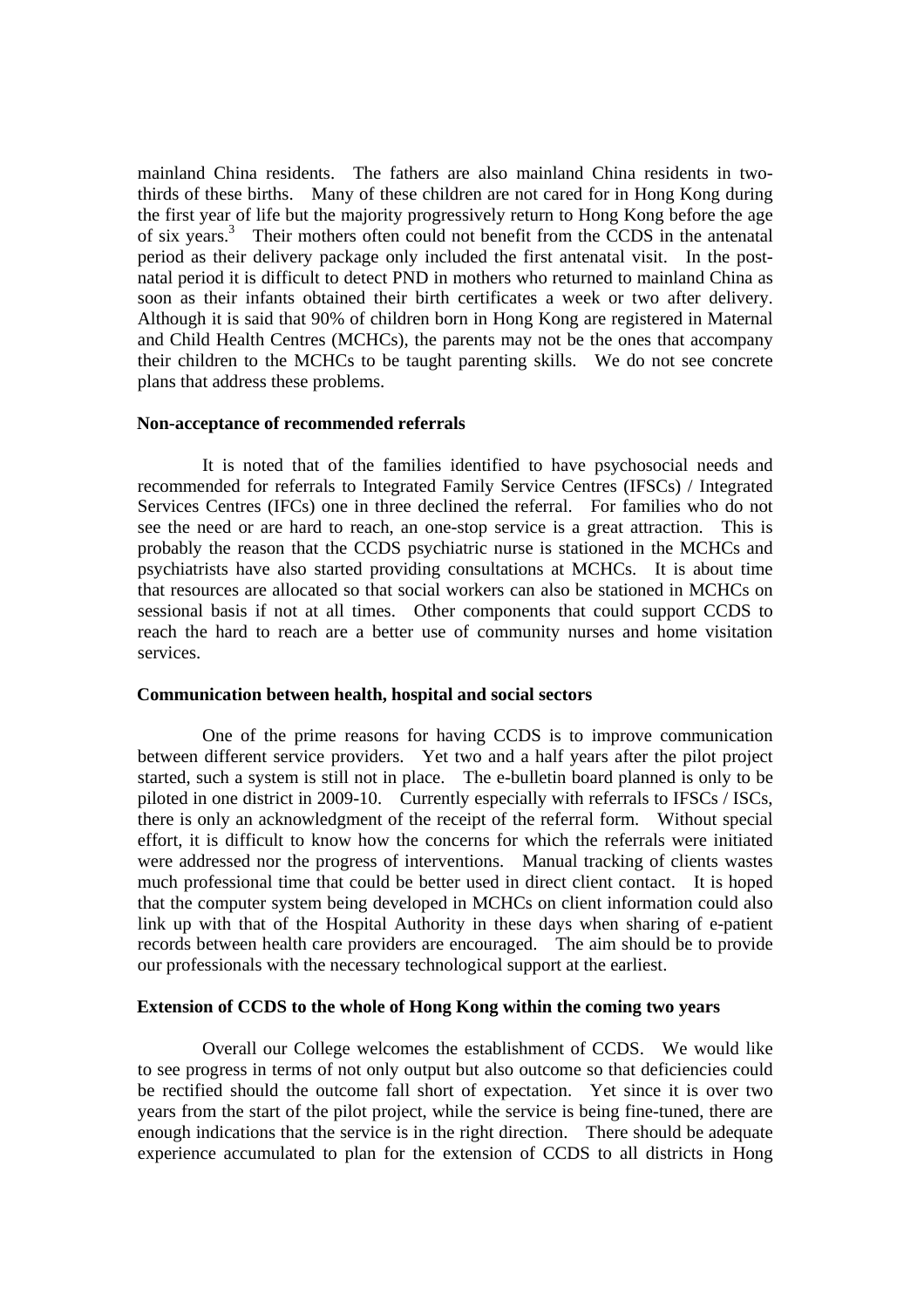mainland China residents. The fathers are also mainland China residents in twothirds of these births. Many of these children are not cared for in Hong Kong during the first year of life but the majority progressively return to Hong Kong before the age of six years.3 Their mothers often could not benefit from the CCDS in the antenatal period as their delivery package only included the first antenatal visit. In the postnatal period it is difficult to detect PND in mothers who returned to mainland China as soon as their infants obtained their birth certificates a week or two after delivery. Although it is said that 90% of children born in Hong Kong are registered in Maternal and Child Health Centres (MCHCs), the parents may not be the ones that accompany their children to the MCHCs to be taught parenting skills. We do not see concrete plans that address these problems.

#### **Non-acceptance of recommended referrals**

 It is noted that of the families identified to have psychosocial needs and recommended for referrals to Integrated Family Service Centres (IFSCs) / Integrated Services Centres (IFCs) one in three declined the referral. For families who do not see the need or are hard to reach, an one-stop service is a great attraction. This is probably the reason that the CCDS psychiatric nurse is stationed in the MCHCs and psychiatrists have also started providing consultations at MCHCs. It is about time that resources are allocated so that social workers can also be stationed in MCHCs on sessional basis if not at all times. Other components that could support CCDS to reach the hard to reach are a better use of community nurses and home visitation services.

### **Communication between health, hospital and social sectors**

 One of the prime reasons for having CCDS is to improve communication between different service providers. Yet two and a half years after the pilot project started, such a system is still not in place. The e-bulletin board planned is only to be piloted in one district in 2009-10. Currently especially with referrals to IFSCs / ISCs, there is only an acknowledgment of the receipt of the referral form. Without special effort, it is difficult to know how the concerns for which the referrals were initiated were addressed nor the progress of interventions. Manual tracking of clients wastes much professional time that could be better used in direct client contact. It is hoped that the computer system being developed in MCHCs on client information could also link up with that of the Hospital Authority in these days when sharing of e-patient records between health care providers are encouraged. The aim should be to provide our professionals with the necessary technological support at the earliest.

#### **Extension of CCDS to the whole of Hong Kong within the coming two years**

 Overall our College welcomes the establishment of CCDS. We would like to see progress in terms of not only output but also outcome so that deficiencies could be rectified should the outcome fall short of expectation. Yet since it is over two years from the start of the pilot project, while the service is being fine-tuned, there are enough indications that the service is in the right direction. There should be adequate experience accumulated to plan for the extension of CCDS to all districts in Hong